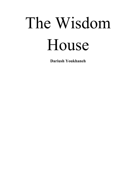# The Wisdom House

**Dariush Youkhaneh**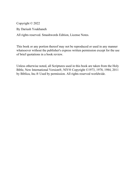Copyright © 2022

By Dariush Youkhaneh

All rights reserved. Smashwords Edition, License Notes.

This book or any portion thereof may not be reproduced or used in any manner whatsoever without the publisher's express written permission except for the use of brief quotations in a book review.

Unless otherwise noted, all Scriptures used in this book are taken from the Holy Bible, New International Version®, NIV® Copyright ©1973, 1978, 1984, 2011 by Biblica, Inc.® Used by permission. All rights reserved worldwide.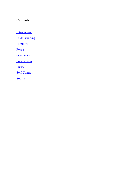## **Contents**

**[Introduction](#page-3-0)** 

**[Understanding](#page-4-0)** 

**[Humility](#page-5-0)** 

[Peace](#page-6-0)

**[Obedience](#page-7-0)** 

**[Forgiveness](#page-9-0)** 

**[Purity](#page-10-0)** 

[Self-Control](#page-11-0)

**[Source](#page-13-0)**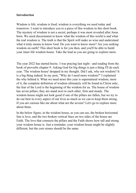#### <span id="page-3-0"></span>**Introduction**

Wisdom is life; wisdom is food; wisdom is everything we need today and tomorrow. I want to introduce you to a piece of this wisdom in this short book. The mystery of wisdom is not a secret; perhaps it was most revealed after Jesus born. We need discernment to know what the wisdom of this world is and what the real wisdom is. The truth is that the Spirit will make us wise and understand what it truly means to know God. Do you want to know more? Are you seeking wisdom on earth? This short book is for you then, and you'll be able to build your inner life wisdom house. Take the lead as you are going to explore more.

The year 2022 has started hectic. I was praying last night - and reading from the book of proverbs chapter 9. Asking God for big things is just a thing I'll do each year. 'The wisdom house' dropped in my thought. Did I ask, why not wisdom? It is a big thing indeed. In my post, "Why do I need more wisdom?" I explained the why behind it. What we need more this year is supernatural wisdom, more of it, the complete definition of wisdom ultimately will be found in Christ only; the fear of the Lord is the beginning of the wisdom for us. The house of wisdom has seven pillars; they are stand next to each other, firm and steady. The wisdom house might not look good if one of the pillars are fallen, but we try to do our best in every aspect of our lives as much as we can to keep them strong. If you are curious like me about what are the sevens? Let's go to explore more about them.

In the below figure, in the wisdom house, as you can see, the broken horizontal line is love, and the two broken vertical lines on two sides of the house are Faith. The love that connects the pillars and the Faith shows how tall and strong your wisdom house is. Just a reminder, your wisdom house might be slightly different, but the core stones should be the same.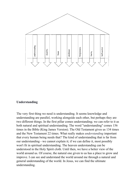

#### <span id="page-4-0"></span>**Understanding**

The very first thing we need is understanding. It seems knowledge and understanding are parallel, working alongside each other, but perhaps they are two different things. In the first pillar comes understanding; we can refer to it as both natural and spiritual understanding. The word "understanding" comes 156 times in the Bible (King James Version). The Old Testament gives us 134 times and the New Testament 22 times. What really makes *understanding* important that every human being needs that? The kind of understanding that is far from our understanding - we cannot explain it; if we can define it, most possibly won't fit in spiritual understanding. The heaven understanding can be understood in the Holy Spirit cloth. Until then, we have a better view of the world around us. Of course, the natural one given to us has a place to grow and improve. I can see and understand the world around me through a natural and general understanding of the world. In Jesus, we can find the ultimate understanding.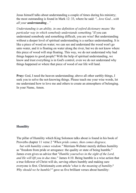Jesus himself talks about understanding a couple of times during his ministry; the most outstanding is found in Mark 12: 33, where he said: *"...love God…with all your understanding..."* 

*Understanding is an ability, in one definition of oxford dictionary means 'the particular way in which somebody understands something.'* If you can understand somebody and something difficult, you are wise! But understanding without a deeper level of spiritual understanding is a surface understanding. It is like a piece of wood on water; we can see and understand the wood won't go unto water, and it is floating on water along the river, but we do not know where this piece of wood will stop floating. This way, we do not understand why bad things happen to good people? With the help of spiritual understanding, we know and trust everything is in God's control, even we do not understand why things happened or where that piece of wood of our life will land.

**Pray:** God, I need the heaven understanding; above all other earthly things, I seek you to solve the not-knowing things. Please teach me your wise words, let me understand how to love me and others to create an atmosphere of belonging. In your Name, Amen.

### <span id="page-5-0"></span>**Humility**

The pillar of Humility which King Solomon talks about is found in his book of Proverbs chapter 11 verse 2 "*When pride comes, then comes disgrace,*

*but with humility comes wisdom."* Merriam-Webster merely defines humility as "freedom from pride or arrogance: the quality or state of being humble." James even gives us advice that "*Humble yourselves in the sight of the Lord, and He will lift you in due time*." James 4:10. Being humble is a wise action that a true follower of Christ will do, serving others humbly and making sure everyone is first. Christionaity.com article '*what is the meaning of humility? Why should we be humble?"* gave us five brilliant verses about humility: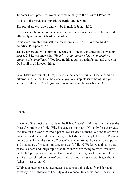To enter God's presence, we must come humbly to the throne: 1 Peter 5:6.

God says the meek shall inherit the earth: Matthew 5:5.

The proud are cast down and will be humbled: James 4:10.

When we are humbled or even when we suffer, we need to remember we will ultimately reign with Christ: 2 Timothy 2:12.

Jesus even humbled Himself; therefore, we should also have the mind of humility: Philippians 2:5-11.

Take your ground with humility because it is one of the stones of the wisdom's house. C.S Lewis once said, *"Humility is not thinking less of yourself; it's thinking of yourself less."* You lose nothing, but you gain favour and grace that God is all in all in everything.

Pray: Make me humble, Lord; mould me be a better human. I leave behind all bitterness in me that I can be close to you, one step closer to being like you. I am wise with you. Thank you for making me new. In your Name, Amen.

### <span id="page-6-0"></span>**Peace**

It is one of the most used words in the Bible, "peace". 420 times you can see the "peace" word in the Bible. Why is peace so important? Not only for our private life also for the world. Without peace, we are dead humans. We are at war with ourselves and the world. Peace is a glue that sticks the people together. Perhaps there was a God in the name of "peace" in ancient times- how such an important and vital stone of wisdom most people won't follow? We know and learn that peace is a hard and tough topic that all countries are trying to reach. We have the Holy Spirit peace within us. Unfortunately, the engine of peace is not on in all of us. We closed our hearts' doors with a shout of justice we forgot about "what is peace, really?"

Wikipedia page of peace says peace is a concept of societal friendship and harmony in the absence of hostility and violence. In a social sense, peace is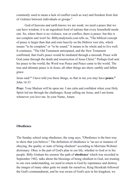commonly used to mean a lack of conflict (such as war) and freedom from fear of violence between individuals or groups."

God of heavens and earth knows we are weak; we need a peace that we can have wisdom; it is an ingredient food of nations that every household needs one. So, where there is no violence, war or conflict, there is peace- but this is not complete and won't be. Biblystudytools.com tells us, "The biblical concept of peace is larger than that and rests heavily on the Hebrew root slm, which means "to be complete" or "to be sound." It means to be whole and to live well. It continues, "The Old Testament anticipated, and the New Testament confirmed, that God's peace would be mediated through a messiah, Peace with God came through the death and resurrection of Jesus Christ." Perhaps God sent his peace to the world; the Word was Peace and Peace came to the world. The true and ultimate peace is in Jesus; all other things are short, earthly and fallen grace.

Jesus said:**"** I have told you these things, so that in me you may have **peace."** John 16:33

**Pray:** Your Shalom will be upon me. I am calm and confident when your Holy Spirit led me through the challenges. Keep calling me Jesus, and I am home whenever you love me. In your Name, Amen.

### <span id="page-7-0"></span>**Obedience**

The Sunday school song obedience; the song says, "Obedience is the best way to show that you believe." The definition of obedience is "an act or instance of obeying, the quality or state of being obedient" according to Merriam-Webster dictionary. Obey is the part of God's plan in our life, whether to God or to his people. Billy Graham his sermon 'the path of **obedience**' which was recorded in September 1962, talks about the blessings of being obedient to God, not trusting to our own understanding, we need to return to God by repentance and destroy the images of many other gods we made for ourselves, King Hezekiah followed the God's commandment, and he was aware of God's acts in his kingdom, we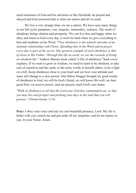need awareness of God and his salvation as like Hezekiah, he prayed and obeyed and God answered that is what our nation and all we need.

We live a very strange time; we are a nation. We have seen many things in our life cycle, pandemic, war, inequity, immorality, sickness. The result of obedience brings shalom and prosperity. We can live free and happy when we obey and listen to God every day, it won't be hard when we give everything to him and meditate on his Word. "*True obedience is the natural outcome of an intimate relationship with Christ. Spending time in the Word and in prayer every day is part of the secret. Our greatest example of such obedience is that of Jesus to His Father. Through His life on earth, we see the rewards of living an obedient life."* Andrew Murray book called "a life of obedience "back cover explains. If we want to grow in wisdom, we need to learn to be obedient, to take care of ourselves and the earth, to the noisy world, to benefit others, to be a light on a hill. Keep obedience close to your heart and see how your attitude and inner self change to a new person. One fellow blogger brought six good results of obedience to God, we will be God's friend, we will know His well, we bear good fruit, we receive power, and our prayers reach God's ears faster.

*"Walk in obedience to all that the Lord your God has commanded you, so that you may live and prosper and prolong your days in the land that you will possess." (Deuteronomy 5:33)*

**Pray:** I obey your voice and rely on your beautiful presence, Lord. My life is better with you, search me and put aside all my iniquities, and let me rejoice in you. In your Name, Amen.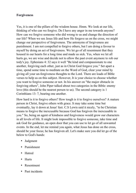## <span id="page-9-0"></span>**Forgiveness**

Yes, it is one of the pillars of the wisdom house. Hmm. We look at our life, thinking of who can we forgive. Do I have any anger in me towards anyone? How can we forgive someone who did wrong to us and change the direction of our life? When we see Jesus life and how He forgave us on the cross, we might change our perspective of forgiveness. The antonyms of forgiveness are punishment. I am not compelled to forgive others, but I am doing a favour to myself by doing an act of forgiveness. We let go of all resentment that they housed in our hearts for a long time and made us sick. Yes, when we let all hurts go, we are wise and decide not to allow the past event anymore to rob our tody's joy. Ephesians 4: 32 says it well "Be kind and compassionate to one another, forgiving each other, just as in Christ God forgave you." Set apart a time, spend some time to meditate on the Word of God, clear your mind by giving all your un-forgiveness thoughts to the Lord. There are loads of Bible verses to help us on this subject. However, It is your choice to choose whether you want to forgive someone or not. In his answer on "the major obstacle in forgiving others", John Piper talked about two categories in the Bible: enemy love (this should be the nearest person to us). The second category is 1 Corinthians 13: 7, bearing one another.

How hard is it to forgive others? How tough is it to forgive ourselves? A mature person in Christ, forgive others with grace. It may take some time but eventually, lay it down at Jesus' feet. C.S Lewis said it nicely, "to be Christian means to forgive the inexcusable because God has forgiven the inexcusable in you." So, being an agent of kindness and forgiveness would grow our characters in all levels of life. It might look impossible to forgive someone, take time and ask God for guidance, an open door that you can use to let go of all unwanted events. In the end, let me remind you again, what Jesus has done on the cross, should be your focus; he has forgiven all. Let's make sure you did let go of the below to God's hands:

- Judgment
- Punishment
- Hatred
- Hurts
- Resentment
- Past incidents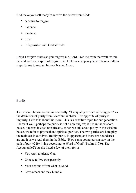And make yourself ready to receive the below from God:

- A desire to forgive
- Patience
- Kindness
- Love
- It is possible with God attitude

**Pray:** I forgive others as you forgave me, Lord. Free me from the wrath within me and give me a spirit of forgiveness. I take one step as you will take a million steps for me to rescue. In your Name, Amen.

## <span id="page-10-0"></span>**Purity**

The wisdom house needs this one badly. "The quality or state of being pure" as the definition of purity from Merriam-Webster. The opposite of purity is impurity. Let's talk about this more. This is a sensitive topic for our generation. I know it well; perhaps the purity is not a new subject; if it is in the wisdom house, it means it was there already. When we talk about purity in the wisdom house, we refer to physical and spiritual purities. The two parties are here play the main act in our lives. Bodily purity is apparent, and there are boundaries around it as we read them in the Bible. "How can a young person stay on the path of purity? By living according to Word of God" (Psalm 119:9). The Accountable2You site listed a few of them for us:

- You want to please God
- Choose to live transparently
- Your actions affirm what is Good
- Love others and stay humble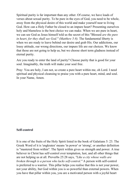Spiritual purity is far important than any other. Of course, we have loads of verses about sexual purity. To be pure in the eyes of God, you need to be whole, away from the physical desire of this world and make yourself near to living God. How can a Holy Father be closed to an impure heart? Presenting ourselves holy and blameless is the best choice we can make. When we are pure in heart, we can see God as Jesus himself told us the secret of this "Blessed *are the pure in heart, for they shall see God." (Matthew 5:8).* The fundamental liberty is when we are ready to leave behind our desire and grab His. Our addictions, our lousy attitude, our wrong directions, our impure life are our choices. We know that those are not going to help us, but we choose short term gladness instead of eternal purity.

Are you ready to enter the land of purity? Choose purity that is good for your soul. Imaginably, the truth will make your soul free.

Pray: You are holy, I am not, so create a pure heart within me, oh Lord. I need spiritual and physical cleansing to praise you with a pure heart, mind, and soul. In your Name, Amen.

### <span id="page-11-0"></span>**Self-control**

It is one of the fruits of the Holy Spirit listed in the book of Galatians 5: 23. The Greek Word of it is 'engkrates' means 'in power' or 'strong', or another definition is "mastered from within". The Spirit within gives us strength and power. A true believer in Christ has self-control over temptation, lust, and all other things that are not helping us at all. Proverbs 25:28 says, *"Like a city whose walls are broken through is a person who lacks self-control."* A person with self-control is preferred to a warrior. This pillar helps you realise that this is not your power, not your ability, but God within you is so powerful than external powers. When you have that pillar within you, you are a motivated person with a joyful heart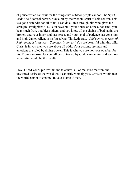of praise which can wait for the things that outdoor people cannot. The Spirit leads a self-control person. Stay alert by the wisdom spirit of self-control. This is a good reminder for all of us "I can do all this through him who gives me strength" Philippians 4:13. You have built your house on a rock, not sand, you bear much fruit, you bless others, and you know all the chains of bad habits are broken, and your inner soul has peace, and your level of patience has gone high and high. James Allen, in his 'As a Man Thinketh' said, "*Self-control is strength. Right thought is mastery. Calmness is power."* You are beautiful with this pillar, Christ is in you then you are above all odds. Your actions, feelings and emotions are ruled by divine power. This is why you are not your own but for his. From tomorrow let your all be controlled by God, lean on him and see how wonderful would be the result?

Pray: I need your Spirit within me to control all of me. Free me from the unwanted desire of the world that I can truly worship you. Christ is within me; the world cannot overcome. In your Name, Amen.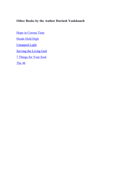# <span id="page-13-0"></span>**Other Books by the Author Dariush Youkhaneh**

[Hope in Corona Time](https://hh-high.com/books/hope-in-corona-time/) [Heads Held High](https://hh-high.com/books/heads-held-high/) [Untapped Light](https://hh-high.com/books/untapped-light/) [Serving the Living God](https://hh-high.com/books/serving-the-living-god/) [7 Things for Your Soul](https://hh-high.com/books/7-things-for-your-soul/) [The 48](https://hh-high.com/books/the-48/)